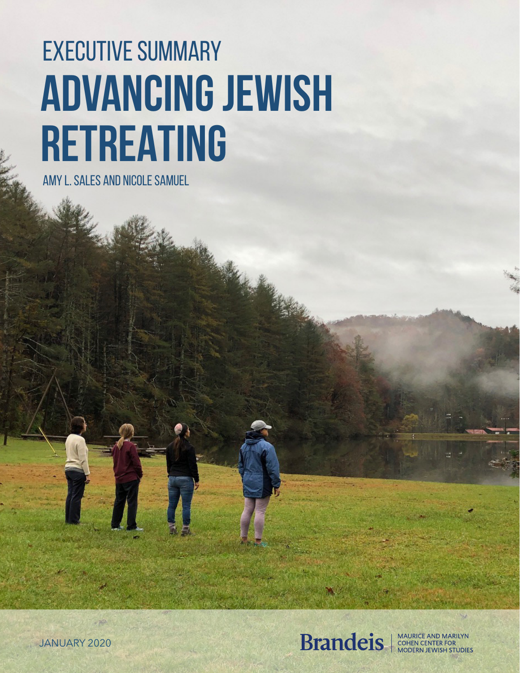# EXECUTIVE SUMMARY **ADVANCING JEWISH RETREATING**

AMY L. SALES AND NICOLE SAMUEL



JANUARY 2020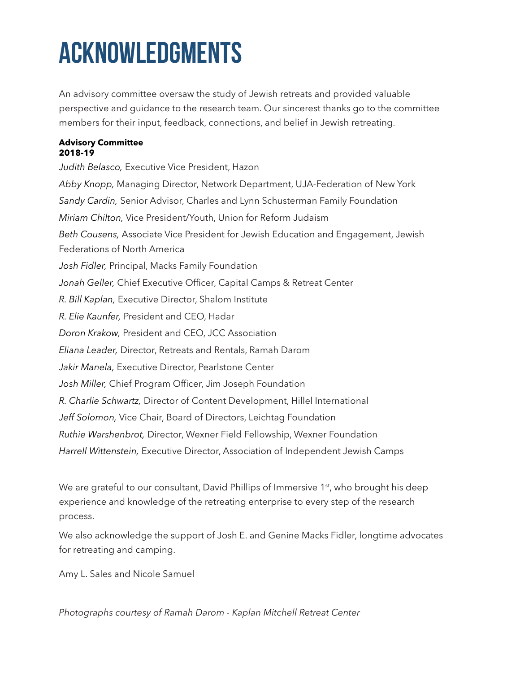# **ACKNOWLEDGMENTS**

An advisory committee oversaw the study of Jewish retreats and provided valuable perspective and guidance to the research team. Our sincerest thanks go to the committee members for their input, feedback, connections, and belief in Jewish retreating.

#### **Advisory Committee 2018-19**

*Judith Belasco,* Executive Vice President, Hazon *Abby Knopp,* Managing Director, Network Department, UJA-Federation of New York *Sandy Cardin,* Senior Advisor, Charles and Lynn Schusterman Family Foundation *Miriam Chilton,* Vice President/Youth, Union for Reform Judaism *Beth Cousens,* Associate Vice President for Jewish Education and Engagement, Jewish Federations of North America *Josh Fidler,* Principal, Macks Family Foundation *Jonah Geller,* Chief Executive Officer, Capital Camps & Retreat Center *R. Bill Kaplan,* Executive Director, Shalom Institute *R. Elie Kaunfer,* President and CEO, Hadar *Doron Krakow,* President and CEO, JCC Association *Eliana Leader,* Director, Retreats and Rentals, Ramah Darom *Jakir Manela,* Executive Director, Pearlstone Center *Josh Miller,* Chief Program Officer, Jim Joseph Foundation *R. Charlie Schwartz,* Director of Content Development, Hillel International *Jeff Solomon,* Vice Chair, Board of Directors, Leichtag Foundation *Ruthie Warshenbrot,* Director, Wexner Field Fellowship, Wexner Foundation *Harrell Wittenstein,* Executive Director, Association of Independent Jewish Camps

We are grateful to our consultant, David Phillips of Immersive 1<sup>st</sup>, who brought his deep experience and knowledge of the retreating enterprise to every step of the research process.

We also acknowledge the support of Josh E. and Genine Macks Fidler, longtime advocates for retreating and camping.

Amy L. Sales and Nicole Samuel

*Photographs courtesy of Ramah Darom - Kaplan Mitchell Retreat Center*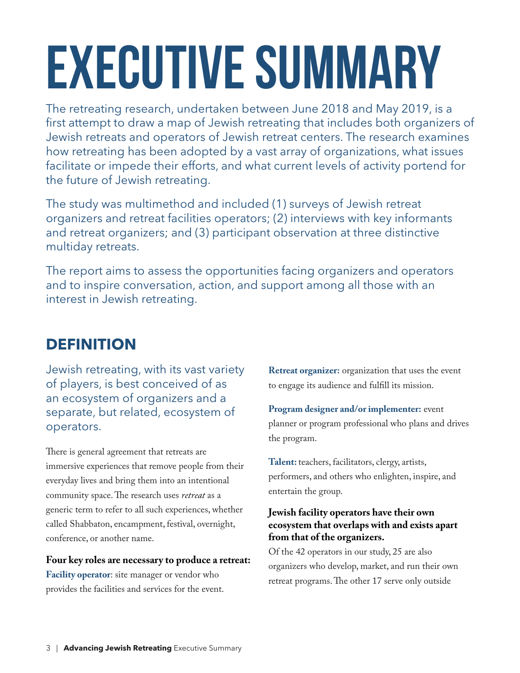# **EXECUTIVE SUMMARY**

The retreating research, undertaken between June 2018 and May 2019, is a first attempt to draw a map of Jewish retreating that includes both organizers of Jewish retreats and operators of Jewish retreat centers. The research examines how retreating has been adopted by a vast array of organizations, what issues facilitate or impede their efforts, and what current levels of activity portend for the future of Jewish retreating.

The study was multimethod and included (1) surveys of Jewish retreat organizers and retreat facilities operators; (2) interviews with key informants and retreat organizers; and (3) participant observation at three distinctive multiday retreats.

The report aims to assess the opportunities facing organizers and operators and to inspire conversation, action, and support among all those with an interest in Jewish retreating.

# **DEFINITION**

Jewish retreating, with its vast variety of players, is best conceived of as an ecosystem of organizers and a separate, but related, ecosystem of operators.

There is general agreement that retreats are immersive experiences that remove people from their everyday lives and bring them into an intentional community space. The research uses *retreat* as a generic term to refer to all such experiences, whether called Shabbaton, encampment, festival, overnight, conference, or another name.

**Four key roles are necessary to produce a retreat: Facility operator**: site manager or vendor who provides the facilities and services for the event.

**Retreat organizer:** organization that uses the event to engage its audience and fulfill its mission.

**Program designer and/or implementer:** event planner or program professional who plans and drives the program.

**Talent:** teachers, facilitators, clergy, artists, performers, and others who enlighten, inspire, and entertain the group.

#### **Jewish facility operators have their own ecosystem that overlaps with and exists apart from that of the organizers.**

Of the 42 operators in our study, 25 are also organizers who develop, market, and run their own retreat programs. The other 17 serve only outside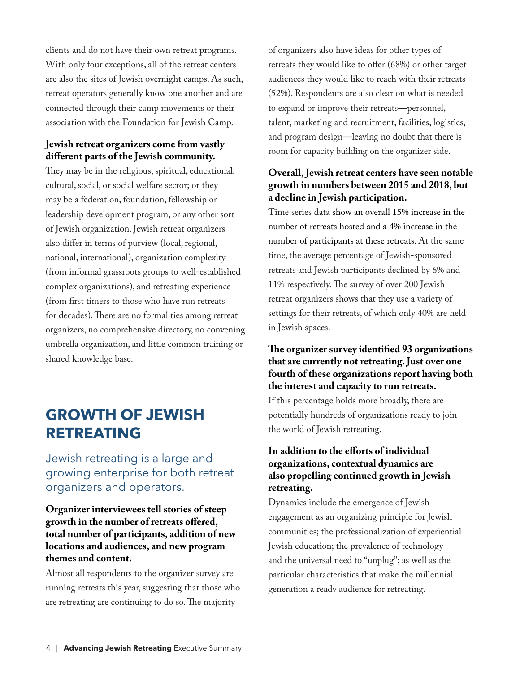clients and do not have their own retreat programs. With only four exceptions, all of the retreat centers are also the sites of Jewish overnight camps. As such, retreat operators generally know one another and are connected through their camp movements or their association with the Foundation for Jewish Camp.

#### **Jewish retreat organizers come from vastly different parts of the Jewish community.**

They may be in the religious, spiritual, educational, cultural, social, or social welfare sector; or they may be a federation, foundation, fellowship or leadership development program, or any other sort of Jewish organization. Jewish retreat organizers also differ in terms of purview (local, regional, national, international), organization complexity (from informal grassroots groups to well-established complex organizations), and retreating experience (from first timers to those who have run retreats for decades). There are no formal ties among retreat organizers, no comprehensive directory, no convening umbrella organization, and little common training or shared knowledge base.

## **GROWTH OF JEWISH RETREATING**

Jewish retreating is a large and growing enterprise for both retreat organizers and operators.

#### **Organizer interviewees tell stories of steep growth in the number of retreats offered, total number of participants, addition of new locations and audiences, and new program themes and content.**

Almost all respondents to the organizer survey are running retreats this year, suggesting that those who are retreating are continuing to do so. The majority

of organizers also have ideas for other types of retreats they would like to offer (68%) or other target audiences they would like to reach with their retreats (52%). Respondents are also clear on what is needed to expand or improve their retreats—personnel, talent, marketing and recruitment, facilities, logistics, and program design—leaving no doubt that there is room for capacity building on the organizer side.

#### **Overall, Jewish retreat centers have seen notable growth in numbers between 2015 and 2018, but a decline in Jewish participation.**

Time series data show an overall 15% increase in the number of retreats hosted and a 4% increase in the number of participants at these retreats. At the same time, the average percentage of Jewish-sponsored retreats and Jewish participants declined by 6% and 11% respectively. The survey of over 200 Jewish retreat organizers shows that they use a variety of settings for their retreats, of which only 40% are held in Jewish spaces.

#### **The organizer survey identified 93 organizations that are currently not retreating. Just over one fourth of these organizations report having both the interest and capacity to run retreats.**

If this percentage holds more broadly, there are potentially hundreds of organizations ready to join the world of Jewish retreating.

#### **In addition to the efforts of individual organizations, contextual dynamics are also propelling continued growth in Jewish retreating.**

Dynamics include the emergence of Jewish engagement as an organizing principle for Jewish communities; the professionalization of experiential Jewish education; the prevalence of technology and the universal need to "unplug"; as well as the particular characteristics that make the millennial generation a ready audience for retreating.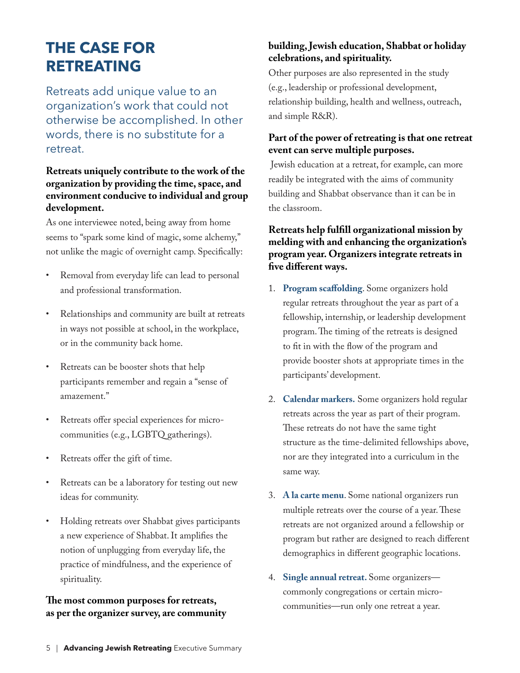# **THE CASE FOR RETREATING**

Retreats add unique value to an organization's work that could not otherwise be accomplished. In other words, there is no substitute for a retreat.

#### **Retreats uniquely contribute to the work of the organization by providing the time, space, and environment conducive to individual and group development.**

As one interviewee noted, being away from home seems to "spark some kind of magic, some alchemy," not unlike the magic of overnight camp. Specifically:

- Removal from everyday life can lead to personal and professional transformation.
- Relationships and community are built at retreats in ways not possible at school, in the workplace, or in the community back home.
- Retreats can be booster shots that help participants remember and regain a "sense of amazement."
- Retreats offer special experiences for microcommunities (e.g., LGBTQ gatherings).
- Retreats offer the gift of time.
- Retreats can be a laboratory for testing out new ideas for community.
- Holding retreats over Shabbat gives participants a new experience of Shabbat. It amplifies the notion of unplugging from everyday life, the practice of mindfulness, and the experience of spirituality.

#### **The most common purposes for retreats, as per the organizer survey, are community**

#### **building, Jewish education, Shabbat or holiday celebrations, and spirituality.**

Other purposes are also represented in the study (e.g., leadership or professional development, relationship building, health and wellness, outreach, and simple R&R).

#### **Part of the power of retreating is that one retreat event can serve multiple purposes.**

Jewish education at a retreat, for example, can more readily be integrated with the aims of community building and Shabbat observance than it can be in the classroom.

#### **Retreats help fulfill organizational mission by melding with and enhancing the organization's program year. Organizers integrate retreats in five different ways.**

- 1. **Program scaffolding**. Some organizers hold regular retreats throughout the year as part of a fellowship, internship, or leadership development program. The timing of the retreats is designed to fit in with the flow of the program and provide booster shots at appropriate times in the participants' development.
- 2. **Calendar markers.** Some organizers hold regular retreats across the year as part of their program. These retreats do not have the same tight structure as the time-delimited fellowships above, nor are they integrated into a curriculum in the same way.
- 3. **A la carte menu**. Some national organizers run multiple retreats over the course of a year. These retreats are not organized around a fellowship or program but rather are designed to reach different demographics in different geographic locations.
- 4. **Single annual retreat.** Some organizers commonly congregations or certain microcommunities—run only one retreat a year.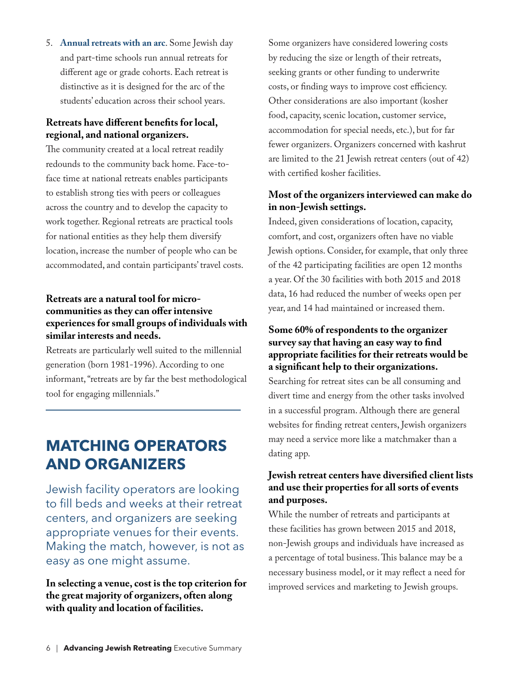5. **Annual retreats with an arc**. Some Jewish day and part-time schools run annual retreats for different age or grade cohorts. Each retreat is distinctive as it is designed for the arc of the students' education across their school years.

#### **Retreats have different benefits for local, regional, and national organizers.**

The community created at a local retreat readily redounds to the community back home. Face-toface time at national retreats enables participants to establish strong ties with peers or colleagues across the country and to develop the capacity to work together. Regional retreats are practical tools for national entities as they help them diversify location, increase the number of people who can be accommodated, and contain participants' travel costs.

#### **Retreats are a natural tool for microcommunities as they can offer intensive experiences for small groups of individuals with similar interests and needs.**

Retreats are particularly well suited to the millennial generation (born 1981-1996). According to one informant, "retreats are by far the best methodological tool for engaging millennials."

# **MATCHING OPERATORS AND ORGANIZERS**

Jewish facility operators are looking to fill beds and weeks at their retreat centers, and organizers are seeking appropriate venues for their events. Making the match, however, is not as easy as one might assume.

**In selecting a venue, cost is the top criterion for the great majority of organizers, often along with quality and location of facilities.**

Some organizers have considered lowering costs by reducing the size or length of their retreats, seeking grants or other funding to underwrite costs, or finding ways to improve cost efficiency. Other considerations are also important (kosher food, capacity, scenic location, customer service, accommodation for special needs, etc.), but for far fewer organizers. Organizers concerned with kashrut are limited to the 21 Jewish retreat centers (out of 42) with certified kosher facilities.

#### **Most of the organizers interviewed can make do in non-Jewish settings.**

Indeed, given considerations of location, capacity, comfort, and cost, organizers often have no viable Jewish options. Consider, for example, that only three of the 42 participating facilities are open 12 months a year. Of the 30 facilities with both 2015 and 2018 data, 16 had reduced the number of weeks open per year, and 14 had maintained or increased them.

#### **Some 60% of respondents to the organizer survey say that having an easy way to find appropriate facilities for their retreats would be a significant help to their organizations.**

Searching for retreat sites can be all consuming and divert time and energy from the other tasks involved in a successful program. Although there are general websites for finding retreat centers, Jewish organizers may need a service more like a matchmaker than a dating app.

#### **Jewish retreat centers have diversified client lists and use their properties for all sorts of events and purposes.**

While the number of retreats and participants at these facilities has grown between 2015 and 2018, non-Jewish groups and individuals have increased as a percentage of total business. This balance may be a necessary business model, or it may reflect a need for improved services and marketing to Jewish groups.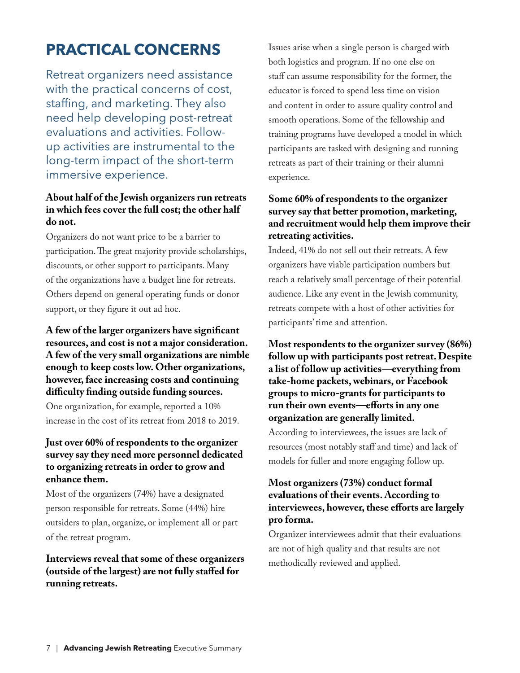# **PRACTICAL CONCERNS**

Retreat organizers need assistance with the practical concerns of cost, staffing, and marketing. They also need help developing post-retreat evaluations and activities. Followup activities are instrumental to the long-term impact of the short-term immersive experience.

#### **About half of the Jewish organizers run retreats in which fees cover the full cost; the other half do not.**

Organizers do not want price to be a barrier to participation. The great majority provide scholarships, discounts, or other support to participants. Many of the organizations have a budget line for retreats. Others depend on general operating funds or donor support, or they figure it out ad hoc.

#### **A few of the larger organizers have significant resources, and cost is not a major consideration. A few of the very small organizations are nimble enough to keep costs low. Other organizations, however, face increasing costs and continuing difficulty finding outside funding sources.**

One organization, for example, reported a 10% increase in the cost of its retreat from 2018 to 2019.

#### **Just over 60% of respondents to the organizer survey say they need more personnel dedicated to organizing retreats in order to grow and enhance them.**

Most of the organizers (74%) have a designated person responsible for retreats. Some (44%) hire outsiders to plan, organize, or implement all or part of the retreat program.

#### **Interviews reveal that some of these organizers (outside of the largest) are not fully staffed for running retreats.**

Issues arise when a single person is charged with both logistics and program. If no one else on staff can assume responsibility for the former, the educator is forced to spend less time on vision and content in order to assure quality control and smooth operations. Some of the fellowship and training programs have developed a model in which participants are tasked with designing and running retreats as part of their training or their alumni experience.

#### **Some 60% of respondents to the organizer survey say that better promotion, marketing, and recruitment would help them improve their retreating activities.**

Indeed, 41% do not sell out their retreats. A few organizers have viable participation numbers but reach a relatively small percentage of their potential audience. Like any event in the Jewish community, retreats compete with a host of other activities for participants' time and attention.

#### **Most respondents to the organizer survey (86%) follow up with participants post retreat. Despite a list of follow up activities—everything from take-home packets, webinars, or Facebook groups to micro-grants for participants to run their own events—efforts in any one organization are generally limited.**

According to interviewees, the issues are lack of resources (most notably staff and time) and lack of models for fuller and more engaging follow up.

#### **Most organizers (73%) conduct formal evaluations of their events. According to interviewees, however, these efforts are largely pro forma.**

Organizer interviewees admit that their evaluations are not of high quality and that results are not methodically reviewed and applied.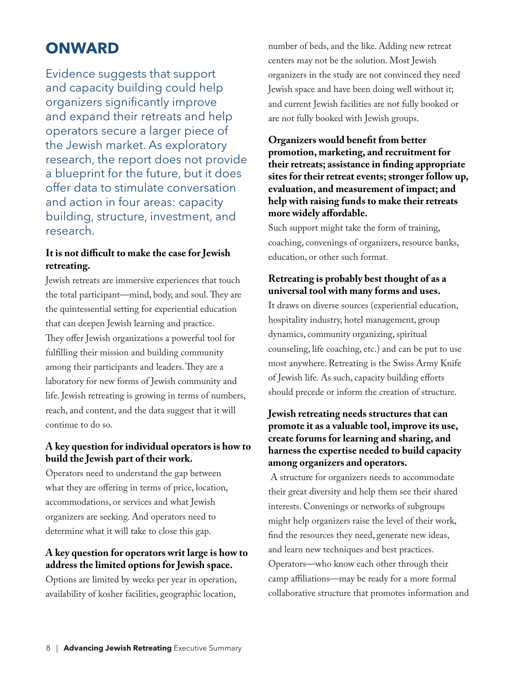## **ONWARD**

Evidence suggests that support and capacity building could help organizers significantly improve and expand their retreats and help operators secure a larger piece of the Jewish market. As exploratory research, the report does not provide a blueprint for the future, but it does offer data to stimulate conversation and action in four areas: capacity building, structure, investment, and research.

#### **It is not difficult to make the case for Jewish retreating.**

Jewish retreats are immersive experiences that touch the total participant—mind, body, and soul. They are the quintessential setting for experiential education that can deepen Jewish learning and practice. They offer Jewish organizations a powerful tool for fulfilling their mission and building community among their participants and leaders. They are a laboratory for new forms of Jewish community and life. Jewish retreating is growing in terms of numbers, reach, and content, and the data suggest that it will continue to do so.

#### **A key question for individual operators is how to build the Jewish part of their work.**

Operators need to understand the gap between what they are offering in terms of price, location, accommodations, or services and what Jewish organizers are seeking. And operators need to determine what it will take to close this gap.

#### **A key question for operators writ large is how to address the limited options for Jewish space.**

Options are limited by weeks per year in operation, availability of kosher facilities, geographic location,

number of beds, and the like. Adding new retreat centers may not be the solution. Most Jewish organizers in the study are not convinced they need Jewish space and have been doing well without it; and current Jewish facilities are not fully booked or are not fully booked with Jewish groups.

#### **Organizers would benefit from better promotion, marketing, and recruitment for their retreats; assistance in finding appropriate sites for their retreat events; stronger follow up, evaluation, and measurement of impact; and help with raising funds to make their retreats more widely affordable.**

Such support might take the form of training, coaching, convenings of organizers, resource banks, education, or other such format.

#### **Retreating is probably best thought of as a universal tool with many forms and uses.**

It draws on diverse sources (experiential education, hospitality industry, hotel management, group dynamics, community organizing, spiritual counseling, life coaching, etc.) and can be put to use most anywhere. Retreating is the Swiss Army Knife of Jewish life. As such, capacity building efforts should precede or inform the creation of structure.

#### **Jewish retreating needs structures that can promote it as a valuable tool, improve its use, create forums for learning and sharing, and harness the expertise needed to build capacity among organizers and operators.**

 A structure for organizers needs to accommodate their great diversity and help them see their shared interests. Convenings or networks of subgroups might help organizers raise the level of their work, find the resources they need, generate new ideas, and learn new techniques and best practices. Operators—who know each other through their camp affiliations—may be ready for a more formal collaborative structure that promotes information and